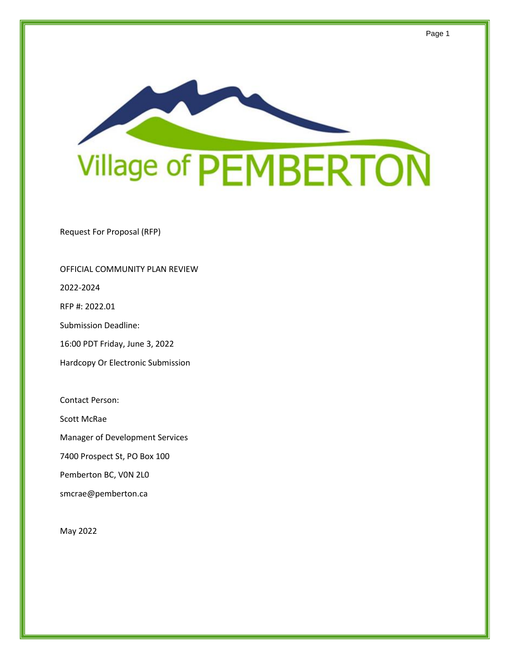

Request For Proposal (RFP)

#### OFFICIAL COMMUNITY PLAN REVIEW

2022-2024

RFP #: 2022.01

Submission Deadline:

16:00 PDT Friday, June 3, 2022

Hardcopy Or Electronic Submission

Contact Person:

Scott McRae

Manager of Development Services

7400 Prospect St, PO Box 100

Pemberton BC, V0N 2L0

smcrae@pemberton.ca

May 2022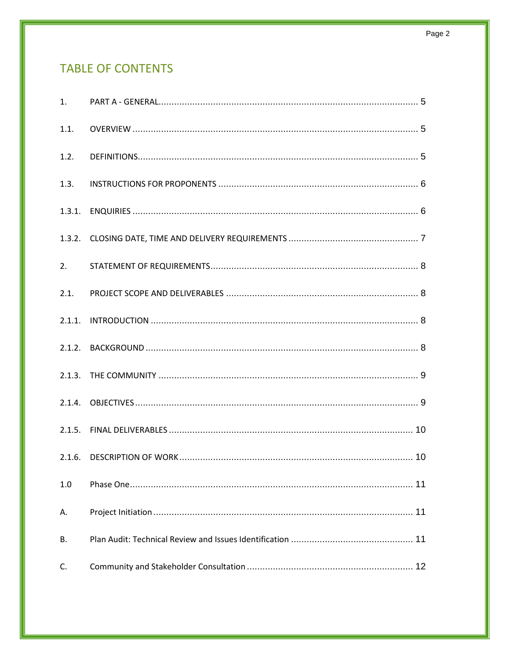# **TABLE OF CONTENTS**

| 1.1.           |  |
|----------------|--|
| 1.2.           |  |
| 1.3.           |  |
|                |  |
|                |  |
| 2.             |  |
| 2.1.           |  |
|                |  |
|                |  |
|                |  |
|                |  |
|                |  |
|                |  |
| 1.0            |  |
| Α.             |  |
| В.             |  |
| $\mathsf{C}$ . |  |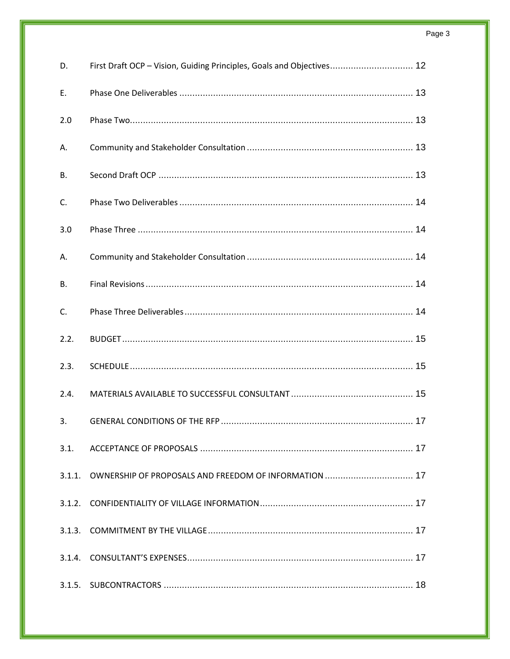| D.   | First Draft OCP - Vision, Guiding Principles, Goals and Objectives 12 |
|------|-----------------------------------------------------------------------|
| Е.   |                                                                       |
| 2.0  |                                                                       |
| А.   |                                                                       |
| В.   |                                                                       |
| C.   |                                                                       |
| 3.0  |                                                                       |
| Α.   |                                                                       |
| В.   |                                                                       |
| C.   |                                                                       |
| 2.2. |                                                                       |
| 2.3. |                                                                       |
| 2.4. |                                                                       |
| 3.   |                                                                       |
| 3.1. |                                                                       |
|      | 3.1.1. OWNERSHIP OF PROPOSALS AND FREEDOM OF INFORMATION  17          |
|      |                                                                       |
|      |                                                                       |
|      |                                                                       |
|      |                                                                       |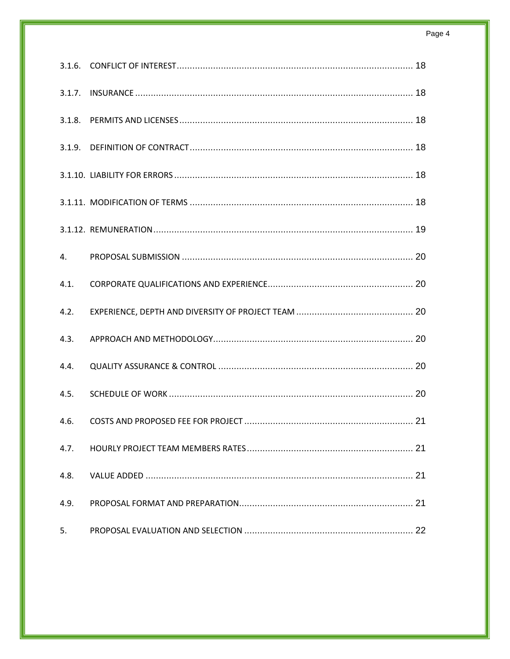| 4.   |  |
|------|--|
| 4.1. |  |
| 4.2. |  |
| 4.3. |  |
| 4.4. |  |
| 4.5. |  |
| 4.6. |  |
| 4.7. |  |
| 4.8. |  |
| 4.9. |  |
| 5.   |  |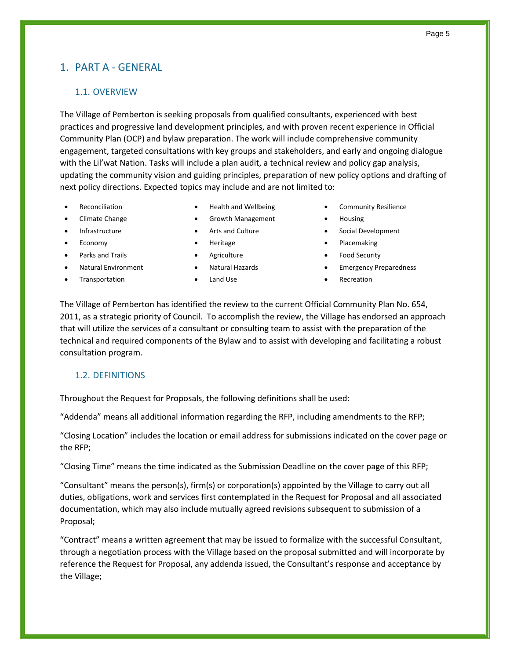# <span id="page-4-0"></span>1. PART A - GENERAL

### <span id="page-4-1"></span>1.1. OVERVIEW

The Village of Pemberton is seeking proposals from qualified consultants, experienced with best practices and progressive land development principles, and with proven recent experience in Official Community Plan (OCP) and bylaw preparation. The work will include comprehensive community engagement, targeted consultations with key groups and stakeholders, and early and ongoing dialogue with the Lil'wat Nation. Tasks will include a plan audit, a technical review and policy gap analysis, updating the community vision and guiding principles, preparation of new policy options and drafting of next policy directions. Expected topics may include and are not limited to:

- 
- 
- 
- 
- 
- 
- Transportation **•** Land Use **• Recreation Recreation**
- 
- Climate Change Growth Management Housing
	-
	-
	-
	-
	-
- **Reconciliation Health and Wellbeing** Community Resilience
	-
- Infrastructure Arts and Culture Social Development
- Economy **•** Heritage **•** Placemaking
- **Parks and Trails Agriculture Agriculture Food Security**
- Natural Environment Natural Hazards Emergency Preparedness
	-

The Village of Pemberton has identified the review to the current Official Community Plan No. 654, 2011, as a strategic priority of Council. To accomplish the review, the Village has endorsed an approach that will utilize the services of a consultant or consulting team to assist with the preparation of the technical and required components of the Bylaw and to assist with developing and facilitating a robust consultation program.

### <span id="page-4-2"></span>1.2. DEFINITIONS

Throughout the Request for Proposals, the following definitions shall be used:

"Addenda" means all additional information regarding the RFP, including amendments to the RFP;

"Closing Location" includes the location or email address for submissions indicated on the cover page or the RFP;

"Closing Time" means the time indicated as the Submission Deadline on the cover page of this RFP;

"Consultant" means the person(s), firm(s) or corporation(s) appointed by the Village to carry out all duties, obligations, work and services first contemplated in the Request for Proposal and all associated documentation, which may also include mutually agreed revisions subsequent to submission of a Proposal;

"Contract" means a written agreement that may be issued to formalize with the successful Consultant, through a negotiation process with the Village based on the proposal submitted and will incorporate by reference the Request for Proposal, any addenda issued, the Consultant's response and acceptance by the Village;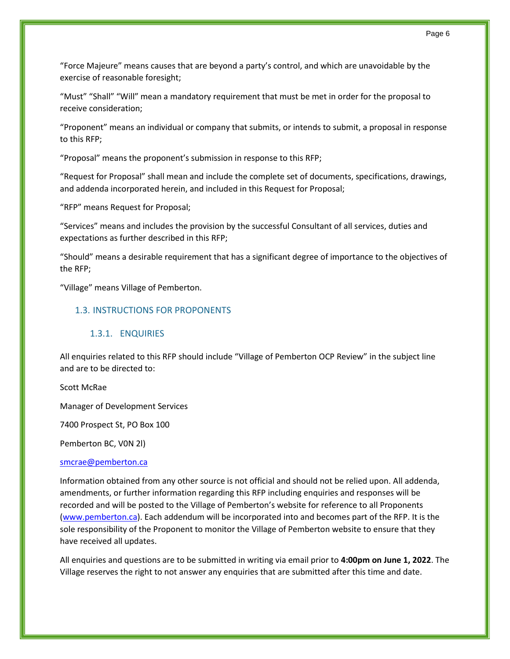Page 6

"Force Majeure" means causes that are beyond a party's control, and which are unavoidable by the exercise of reasonable foresight;

"Must" "Shall" "Will" mean a mandatory requirement that must be met in order for the proposal to receive consideration;

"Proponent" means an individual or company that submits, or intends to submit, a proposal in response to this RFP;

"Proposal" means the proponent's submission in response to this RFP;

"Request for Proposal" shall mean and include the complete set of documents, specifications, drawings, and addenda incorporated herein, and included in this Request for Proposal;

"RFP" means Request for Proposal;

"Services" means and includes the provision by the successful Consultant of all services, duties and expectations as further described in this RFP;

"Should" means a desirable requirement that has a significant degree of importance to the objectives of the RFP;

<span id="page-5-0"></span>"Village" means Village of Pemberton.

#### 1.3. INSTRUCTIONS FOR PROPONENTS

#### 1.3.1. ENQUIRIES

<span id="page-5-1"></span>All enquiries related to this RFP should include "Village of Pemberton OCP Review" in the subject line and are to be directed to:

Scott McRae

Manager of Development Services

7400 Prospect St, PO Box 100

Pemberton BC, V0N 2l)

#### [smcrae@pemberton.ca](mailto:smcrae@pemberton.ca)

Information obtained from any other source is not official and should not be relied upon. All addenda, amendments, or further information regarding this RFP including enquiries and responses will be recorded and will be posted to the Village of Pemberton's website for reference to all Proponents [\(www.pemberton.ca\)](http://www.pemberton.ca/). Each addendum will be incorporated into and becomes part of the RFP. It is the sole responsibility of the Proponent to monitor the Village of Pemberton website to ensure that they have received all updates.

All enquiries and questions are to be submitted in writing via email prior to **4:00pm on June 1, 2022**. The Village reserves the right to not answer any enquiries that are submitted after this time and date.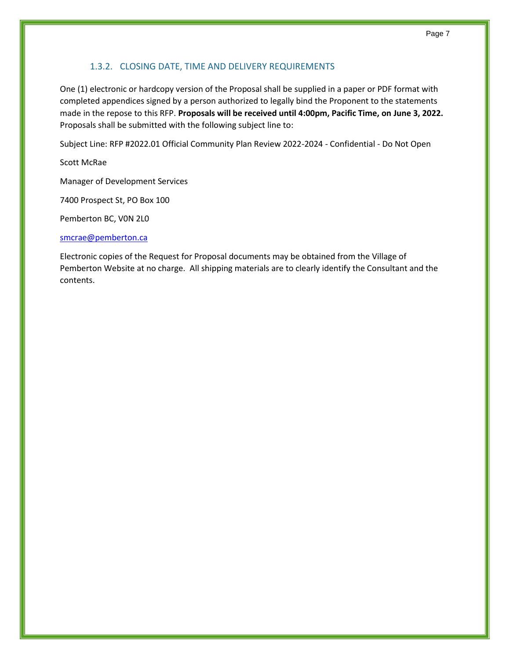### 1.3.2. CLOSING DATE, TIME AND DELIVERY REQUIREMENTS

<span id="page-6-0"></span>One (1) electronic or hardcopy version of the Proposal shall be supplied in a paper or PDF format with completed appendices signed by a person authorized to legally bind the Proponent to the statements made in the repose to this RFP. **Proposals will be received until 4:00pm, Pacific Time, on June 3, 2022.** Proposals shall be submitted with the following subject line to:

Subject Line: RFP #2022.01 Official Community Plan Review 2022-2024 - Confidential - Do Not Open

Scott McRae

Manager of Development Services

7400 Prospect St, PO Box 100

Pemberton BC, V0N 2L0

#### [smcrae@pemberton.ca](mailto:smcrae@pemberton.ca)

Electronic copies of the Request for Proposal documents may be obtained from the Village of Pemberton Website at no charge. All shipping materials are to clearly identify the Consultant and the contents.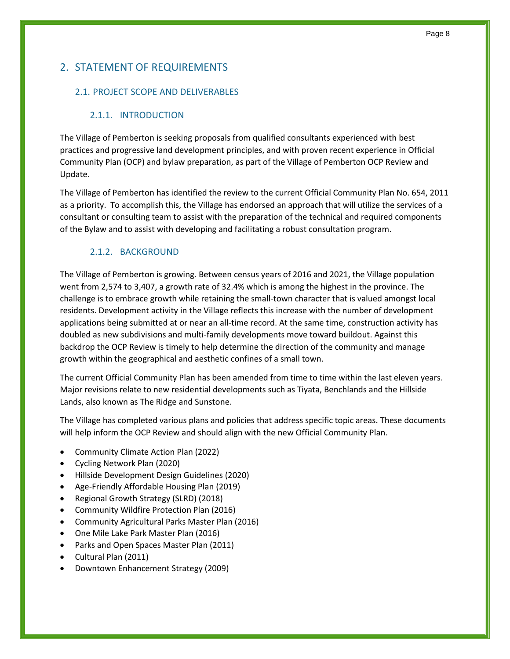# <span id="page-7-0"></span>2. STATEMENT OF REQUIREMENTS

### <span id="page-7-1"></span>2.1. PROJECT SCOPE AND DELIVERABLES

### 2.1.1. INTRODUCTION

<span id="page-7-2"></span>The Village of Pemberton is seeking proposals from qualified consultants experienced with best practices and progressive land development principles, and with proven recent experience in Official Community Plan (OCP) and bylaw preparation, as part of the Village of Pemberton OCP Review and Update.

The Village of Pemberton has identified the review to the current Official Community Plan No. 654, 2011 as a priority. To accomplish this, the Village has endorsed an approach that will utilize the services of a consultant or consulting team to assist with the preparation of the technical and required components of the Bylaw and to assist with developing and facilitating a robust consultation program.

### 2.1.2. BACKGROUND

<span id="page-7-3"></span>The Village of Pemberton is growing. Between census years of 2016 and 2021, the Village population went from 2,574 to 3,407, a growth rate of 32.4% which is among the highest in the province. The challenge is to embrace growth while retaining the small-town character that is valued amongst local residents. Development activity in the Village reflects this increase with the number of development applications being submitted at or near an all-time record. At the same time, construction activity has doubled as new subdivisions and multi-family developments move toward buildout. Against this backdrop the OCP Review is timely to help determine the direction of the community and manage growth within the geographical and aesthetic confines of a small town.

The current Official Community Plan has been amended from time to time within the last eleven years. Major revisions relate to new residential developments such as Tiyata, Benchlands and the Hillside Lands, also known as The Ridge and Sunstone.

The Village has completed various plans and policies that address specific topic areas. These documents will help inform the OCP Review and should align with the new Official Community Plan.

- Community Climate Action Plan (2022)
- Cycling Network Plan (2020)
- Hillside Development Design Guidelines (2020)
- Age-Friendly Affordable Housing Plan (2019)
- Regional Growth Strategy (SLRD) (2018)
- Community Wildfire Protection Plan (2016)
- Community Agricultural Parks Master Plan (2016)
- One Mile Lake Park Master Plan (2016)
- Parks and Open Spaces Master Plan (2011)
- Cultural Plan (2011)
- Downtown Enhancement Strategy (2009)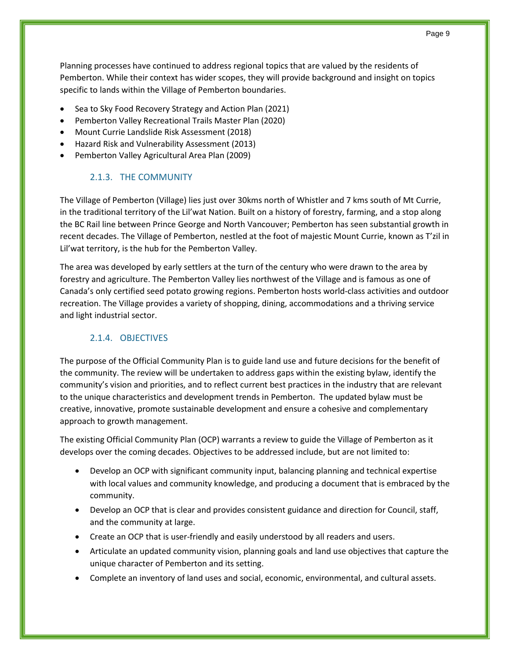Planning processes have continued to address regional topics that are valued by the residents of Pemberton. While their context has wider scopes, they will provide background and insight on topics specific to lands within the Village of Pemberton boundaries.

- Sea to Sky Food Recovery Strategy and Action Plan (2021)
- Pemberton Valley Recreational Trails Master Plan (2020)
- Mount Currie Landslide Risk Assessment (2018)
- Hazard Risk and Vulnerability Assessment (2013)
- <span id="page-8-0"></span>• Pemberton Valley Agricultural Area Plan (2009)

### 2.1.3. THE COMMUNITY

The Village of Pemberton (Village) lies just over 30kms north of Whistler and 7 kms south of Mt Currie, in the traditional territory of the Lil'wat Nation. Built on a history of forestry, farming, and a stop along the BC Rail line between Prince George and North Vancouver; Pemberton has seen substantial growth in recent decades. The Village of Pemberton, nestled at the foot of majestic Mount Currie, known as T'zil in Lil'wat territory, is the hub for the Pemberton Valley.

The area was developed by early settlers at the turn of the century who were drawn to the area by forestry and agriculture. The Pemberton Valley lies northwest of the Village and is famous as one of Canada's only certified seed potato growing regions. Pemberton hosts [world-class activities and outdoor](https://www.tourismpembertonbc.com/pemberton-activities/)  [recreation.](https://www.tourismpembertonbc.com/pemberton-activities/) The Village provides a variety of shopping, dining, accommodations and a thriving service and light industrial sector.

# 2.1.4. OBJECTIVES

<span id="page-8-1"></span>The purpose of the Official Community Plan is to guide land use and future decisions for the benefit of the community. The review will be undertaken to address gaps within the existing bylaw, identify the community's vision and priorities, and to reflect current best practices in the industry that are relevant to the unique characteristics and development trends in Pemberton. The updated bylaw must be creative, innovative, promote sustainable development and ensure a cohesive and complementary approach to growth management.

The existing Official Community Plan (OCP) warrants a review to guide the Village of Pemberton as it develops over the coming decades. Objectives to be addressed include, but are not limited to:

- Develop an OCP with significant community input, balancing planning and technical expertise with local values and community knowledge, and producing a document that is embraced by the community.
- Develop an OCP that is clear and provides consistent guidance and direction for Council, staff, and the community at large.
- Create an OCP that is user-friendly and easily understood by all readers and users.
- Articulate an updated community vision, planning goals and land use objectives that capture the unique character of Pemberton and its setting.
- Complete an inventory of land uses and social, economic, environmental, and cultural assets.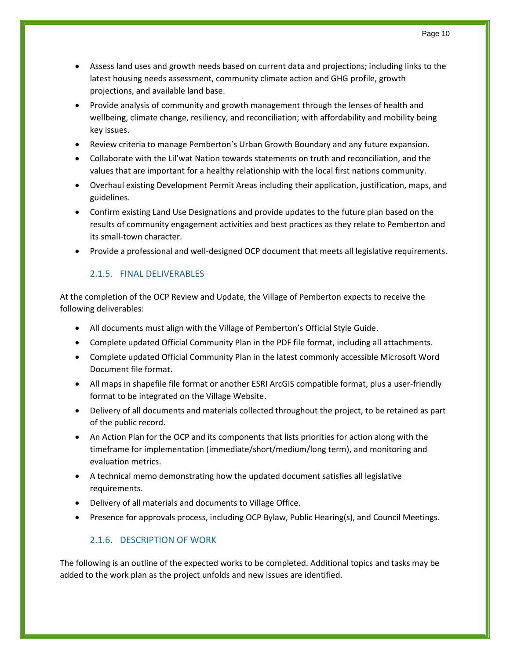- Assess land uses and growth needs based on current data and projections; including links to the latest housing needs assessment, community climate action and GHG profile, growth projections, and available land base.
- Provide analysis of community and growth management through the lenses of health and wellbeing, climate change, resiliency, and reconciliation; with affordability and mobility being key issues.
- Review criteria to manage Pemberton's Urban Growth Boundary and any future expansion.
- Collaborate with the Lil'wat Nation towards statements on truth and reconciliation, and the values that are important for a healthy relationship with the local first nations community.
- Overhaul existing Development Permit Areas including their application, justification, maps, and guidelines.
- Confirm existing Land Use Designations and provide updates to the future plan based on the results of community engagement activities and best practices as they relate to Pemberton and its small-town character.
- <span id="page-9-0"></span>• Provide a professional and well-designed OCP document that meets all legislative requirements.

# 2.1.5. FINAL DELIVERABLES

At the completion of the OCP Review and Update, the Village of Pemberton expects to receive the following deliverables:

- All documents must align with the Village of Pemberton's Official Style Guide.
- Complete updated Official Community Plan in the PDF file format, including all attachments.
- Complete updated Official Community Plan in the latest commonly accessible Microsoft Word Document file format.
- All maps in shapefile file format or another ESRI ArcGIS compatible format, plus a user-friendly format to be integrated on the Village Website.
- Delivery of all documents and materials collected throughout the project, to be retained as part of the public record.
- An Action Plan for the OCP and its components that lists priorities for action along with the timeframe for implementation (immediate/short/medium/long term), and monitoring and evaluation metrics.
- A technical memo demonstrating how the updated document satisfies all legislative requirements.
- Delivery of all materials and documents to Village Office.
- <span id="page-9-1"></span>• Presence for approvals process, including OCP Bylaw, Public Hearing(s), and Council Meetings.

# 2.1.6. DESCRIPTION OF WORK

The following is an outline of the expected works to be completed. Additional topics and tasks may be added to the work plan as the project unfolds and new issues are identified.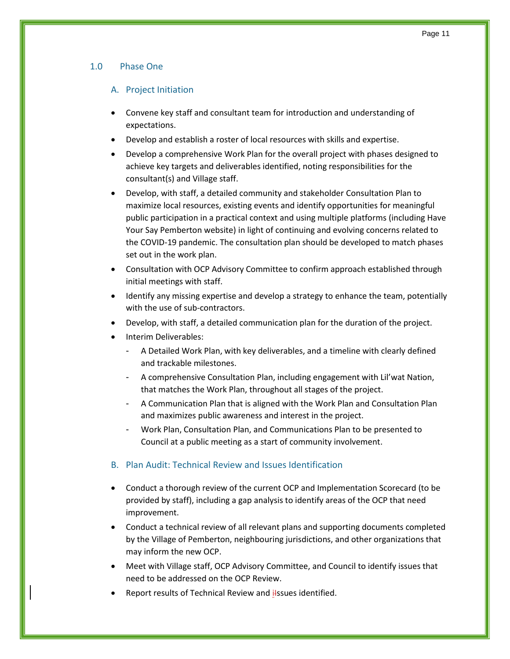### <span id="page-10-1"></span><span id="page-10-0"></span>1.0 Phase One

### A. Project Initiation

- Convene key staff and consultant team for introduction and understanding of expectations.
- Develop and establish a roster of local resources with skills and expertise.
- Develop a comprehensive Work Plan for the overall project with phases designed to achieve key targets and deliverables identified, noting responsibilities for the consultant(s) and Village staff.
- Develop, with staff, a detailed community and stakeholder Consultation Plan to maximize local resources, existing events and identify opportunities for meaningful public participation in a practical context and using multiple platforms (including Have Your Say Pemberton website) in light of continuing and evolving concerns related to the COVID-19 pandemic. The consultation plan should be developed to match phases set out in the work plan.
- Consultation with OCP Advisory Committee to confirm approach established through initial meetings with staff.
- Identify any missing expertise and develop a strategy to enhance the team, potentially with the use of sub-contractors.
- Develop, with staff, a detailed communication plan for the duration of the project.
- Interim Deliverables:
	- A Detailed Work Plan, with key deliverables, and a timeline with clearly defined and trackable milestones.
	- A comprehensive Consultation Plan, including engagement with Lil'wat Nation, that matches the Work Plan, throughout all stages of the project.
	- A Communication Plan that is aligned with the Work Plan and Consultation Plan and maximizes public awareness and interest in the project.
	- Work Plan, Consultation Plan, and Communications Plan to be presented to Council at a public meeting as a start of community involvement.
- <span id="page-10-2"></span>B. Plan Audit: Technical Review and Issues Identification
- Conduct a thorough review of the current OCP and Implementation Scorecard (to be provided by staff), including a gap analysis to identify areas of the OCP that need improvement.
- Conduct a technical review of all relevant plans and supporting documents completed by the Village of Pemberton, neighbouring jurisdictions, and other organizations that may inform the new OCP.
- Meet with Village staff, OCP Advisory Committee, and Council to identify issues that need to be addressed on the OCP Review.
- Report results of Technical Review and ilssues identified.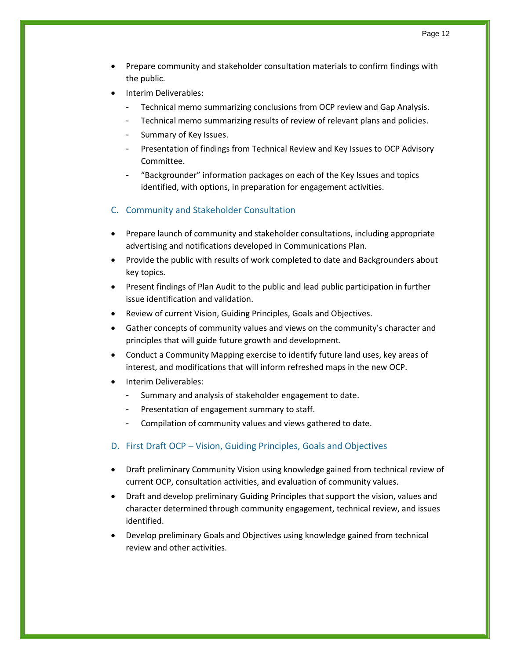- Prepare community and stakeholder consultation materials to confirm findings with the public.
- Interim Deliverables:
	- Technical memo summarizing conclusions from OCP review and Gap Analysis.
	- Technical memo summarizing results of review of relevant plans and policies.
	- Summary of Key Issues.
	- Presentation of findings from Technical Review and Key Issues to OCP Advisory Committee.
	- "Backgrounder" information packages on each of the Key Issues and topics identified, with options, in preparation for engagement activities.
- <span id="page-11-0"></span>C. Community and Stakeholder Consultation
- Prepare launch of community and stakeholder consultations, including appropriate advertising and notifications developed in Communications Plan.
- Provide the public with results of work completed to date and Backgrounders about key topics.
- Present findings of Plan Audit to the public and lead public participation in further issue identification and validation.
- Review of current Vision, Guiding Principles, Goals and Objectives.
- Gather concepts of community values and views on the community's character and principles that will guide future growth and development.
- Conduct a Community Mapping exercise to identify future land uses, key areas of interest, and modifications that will inform refreshed maps in the new OCP.
- Interim Deliverables:
	- Summary and analysis of stakeholder engagement to date.
	- Presentation of engagement summary to staff.
	- Compilation of community values and views gathered to date.
- <span id="page-11-1"></span>D. First Draft OCP – Vision, Guiding Principles, Goals and Objectives
- Draft preliminary Community Vision using knowledge gained from technical review of current OCP, consultation activities, and evaluation of community values.
- Draft and develop preliminary Guiding Principles that support the vision, values and character determined through community engagement, technical review, and issues identified.
- Develop preliminary Goals and Objectives using knowledge gained from technical review and other activities.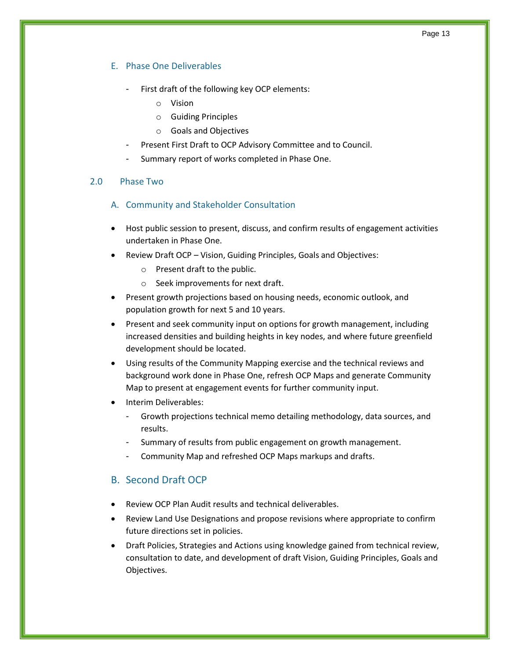### <span id="page-12-0"></span>E. Phase One Deliverables

- First draft of the following key OCP elements:
	- o Vision
	- o Guiding Principles
	- o Goals and Objectives
- Present First Draft to OCP Advisory Committee and to Council.
- Summary report of works completed in Phase One.

### <span id="page-12-2"></span><span id="page-12-1"></span>2.0 Phase Two

- A. Community and Stakeholder Consultation
- Host public session to present, discuss, and confirm results of engagement activities undertaken in Phase One.
- Review Draft OCP Vision, Guiding Principles, Goals and Objectives:
	- o Present draft to the public.
	- o Seek improvements for next draft.
- Present growth projections based on housing needs, economic outlook, and population growth for next 5 and 10 years.
- Present and seek community input on options for growth management, including increased densities and building heights in key nodes, and where future greenfield development should be located.
- Using results of the Community Mapping exercise and the technical reviews and background work done in Phase One, refresh OCP Maps and generate Community Map to present at engagement events for further community input.
- Interim Deliverables:
	- Growth projections technical memo detailing methodology, data sources, and results.
	- Summary of results from public engagement on growth management.
	- Community Map and refreshed OCP Maps markups and drafts.

# <span id="page-12-3"></span>B. Second Draft OCP

- Review OCP Plan Audit results and technical deliverables.
- Review Land Use Designations and propose revisions where appropriate to confirm future directions set in policies.
- Draft Policies, Strategies and Actions using knowledge gained from technical review, consultation to date, and development of draft Vision, Guiding Principles, Goals and Objectives.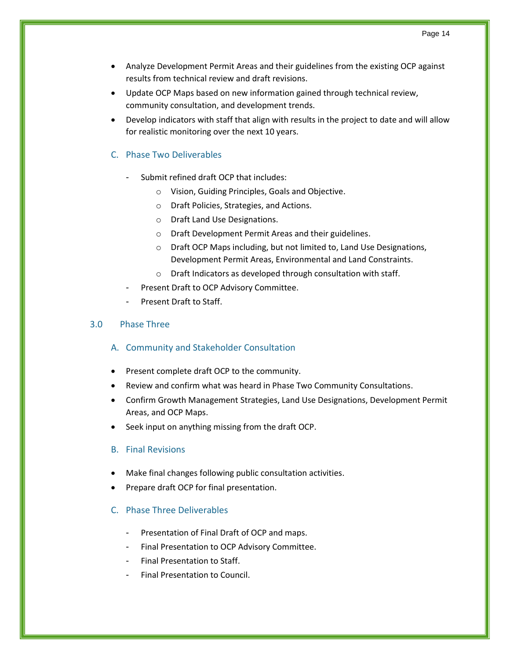- Analyze Development Permit Areas and their guidelines from the existing OCP against results from technical review and draft revisions.
- Update OCP Maps based on new information gained through technical review, community consultation, and development trends.
- Develop indicators with staff that align with results in the project to date and will allow for realistic monitoring over the next 10 years.

### <span id="page-13-0"></span>C. Phase Two Deliverables

- Submit refined draft OCP that includes:
	- o Vision, Guiding Principles, Goals and Objective.
	- o Draft Policies, Strategies, and Actions.
	- o Draft Land Use Designations.
	- o Draft Development Permit Areas and their guidelines.
	- o Draft OCP Maps including, but not limited to, Land Use Designations, Development Permit Areas, Environmental and Land Constraints.
	- o Draft Indicators as developed through consultation with staff.
- Present Draft to OCP Advisory Committee.
- Present Draft to Staff.

### <span id="page-13-2"></span><span id="page-13-1"></span>3.0 Phase Three

### A. Community and Stakeholder Consultation

- Present complete draft OCP to the community.
- Review and confirm what was heard in Phase Two Community Consultations.
- Confirm Growth Management Strategies, Land Use Designations, Development Permit Areas, and OCP Maps.
- <span id="page-13-3"></span>• Seek input on anything missing from the draft OCP.
- B. Final Revisions
- Make final changes following public consultation activities.
- Prepare draft OCP for final presentation.

### <span id="page-13-4"></span>C. Phase Three Deliverables

- Presentation of Final Draft of OCP and maps.
- Final Presentation to OCP Advisory Committee.
- Final Presentation to Staff.
- Final Presentation to Council.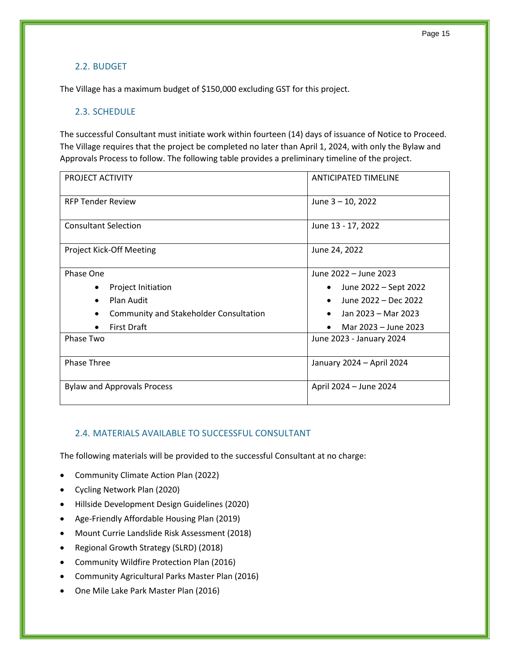### <span id="page-14-0"></span>2.2. BUDGET

The Village has a maximum budget of \$150,000 excluding GST for this project.

### <span id="page-14-1"></span>2.3. SCHEDULE

The successful Consultant must initiate work within fourteen (14) days of issuance of Notice to Proceed. The Village requires that the project be completed no later than April 1, 2024, with only the Bylaw and Approvals Process to follow. The following table provides a preliminary timeline of the project.

| PROJECT ACTIVITY                                                                                                                                     | <b>ANTICIPATED TIMELINE</b>                                                                                                                       |  |
|------------------------------------------------------------------------------------------------------------------------------------------------------|---------------------------------------------------------------------------------------------------------------------------------------------------|--|
| <b>RFP Tender Review</b>                                                                                                                             | June 3 - 10, 2022                                                                                                                                 |  |
| <b>Consultant Selection</b>                                                                                                                          | June 13 - 17, 2022                                                                                                                                |  |
| <b>Project Kick-Off Meeting</b>                                                                                                                      | June 24, 2022                                                                                                                                     |  |
| Phase One<br>Project Initiation<br>Plan Audit<br>$\bullet$<br><b>Community and Stakeholder Consultation</b><br>First Draft<br>$\bullet$<br>Phase Two | June 2022 - June 2023<br>June 2022 – Sept 2022<br>June 2022 – Dec 2022<br>Jan 2023 – Mar 2023<br>Mar 2023 - June 2023<br>June 2023 - January 2024 |  |
| <b>Phase Three</b>                                                                                                                                   | January 2024 - April 2024                                                                                                                         |  |
| <b>Bylaw and Approvals Process</b>                                                                                                                   | April 2024 - June 2024                                                                                                                            |  |

### <span id="page-14-2"></span>2.4. MATERIALS AVAILABLE TO SUCCESSFUL CONSULTANT

The following materials will be provided to the successful Consultant at no charge:

- Community Climate Action Plan (2022)
- Cycling Network Plan (2020)
- Hillside Development Design Guidelines (2020)
- Age-Friendly Affordable Housing Plan (2019)
- Mount Currie Landslide Risk Assessment (2018)
- Regional Growth Strategy (SLRD) (2018)
- Community Wildfire Protection Plan (2016)
- Community Agricultural Parks Master Plan (2016)
- One Mile Lake Park Master Plan (2016)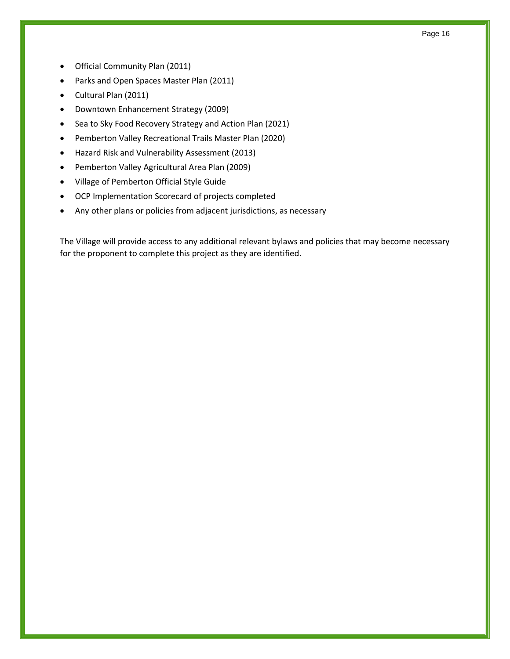- Official Community Plan (2011)
- Parks and Open Spaces Master Plan (2011)
- Cultural Plan (2011)
- Downtown Enhancement Strategy (2009)
- Sea to Sky Food Recovery Strategy and Action Plan (2021)
- Pemberton Valley Recreational Trails Master Plan (2020)
- Hazard Risk and Vulnerability Assessment (2013)
- Pemberton Valley Agricultural Area Plan (2009)
- Village of Pemberton Official Style Guide
- OCP Implementation Scorecard of projects completed
- Any other plans or policies from adjacent jurisdictions, as necessary

The Village will provide access to any additional relevant bylaws and policies that may become necessary for the proponent to complete this project as they are identified.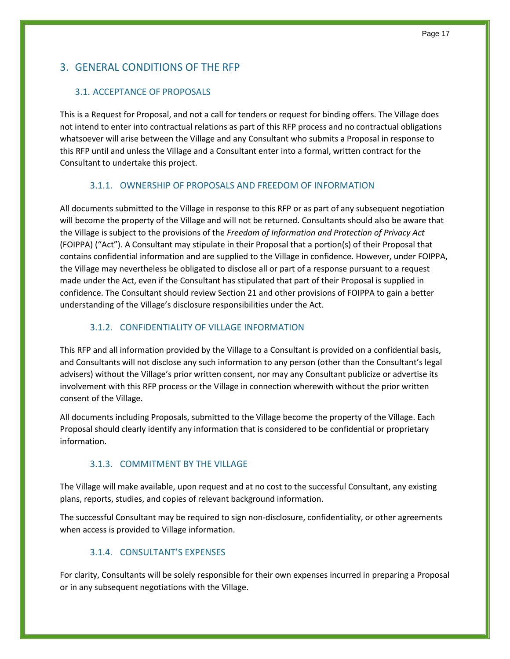# <span id="page-16-0"></span>3. GENERAL CONDITIONS OF THE RFP

### <span id="page-16-1"></span>3.1. ACCEPTANCE OF PROPOSALS

This is a Request for Proposal, and not a call for tenders or request for binding offers. The Village does not intend to enter into contractual relations as part of this RFP process and no contractual obligations whatsoever will arise between the Village and any Consultant who submits a Proposal in response to this RFP until and unless the Village and a Consultant enter into a formal, written contract for the Consultant to undertake this project.

### 3.1.1. OWNERSHIP OF PROPOSALS AND FREEDOM OF INFORMATION

<span id="page-16-2"></span>All documents submitted to the Village in response to this RFP or as part of any subsequent negotiation will become the property of the Village and will not be returned. Consultants should also be aware that the Village is subject to the provisions of the *Freedom of Information and Protection of Privacy Act* (FOIPPA) ("Act"). A Consultant may stipulate in their Proposal that a portion(s) of their Proposal that contains confidential information and are supplied to the Village in confidence. However, under FOIPPA, the Village may nevertheless be obligated to disclose all or part of a response pursuant to a request made under the Act, even if the Consultant has stipulated that part of their Proposal is supplied in confidence. The Consultant should review Section 21 and other provisions of FOIPPA to gain a better understanding of the Village's disclosure responsibilities under the Act.

### 3.1.2. CONFIDENTIALITY OF VILLAGE INFORMATION

<span id="page-16-3"></span>This RFP and all information provided by the Village to a Consultant is provided on a confidential basis, and Consultants will not disclose any such information to any person (other than the Consultant's legal advisers) without the Village's prior written consent, nor may any Consultant publicize or advertise its involvement with this RFP process or the Village in connection wherewith without the prior written consent of the Village.

All documents including Proposals, submitted to the Village become the property of the Village. Each Proposal should clearly identify any information that is considered to be confidential or proprietary information.

# 3.1.3. COMMITMENT BY THE VILLAGE

<span id="page-16-4"></span>The Village will make available, upon request and at no cost to the successful Consultant, any existing plans, reports, studies, and copies of relevant background information.

The successful Consultant may be required to sign non-disclosure, confidentiality, or other agreements when access is provided to Village information.

### 3.1.4. CONSULTANT'S EXPENSES

<span id="page-16-5"></span>For clarity, Consultants will be solely responsible for their own expenses incurred in preparing a Proposal or in any subsequent negotiations with the Village.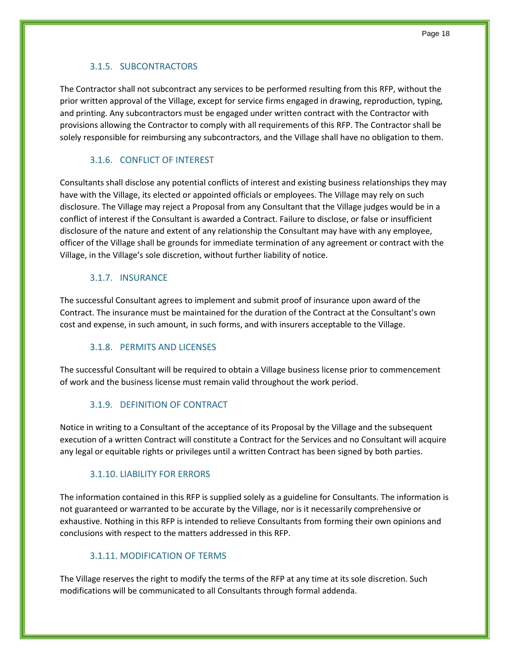# 3.1.5. SUBCONTRACTORS

<span id="page-17-0"></span>The Contractor shall not subcontract any services to be performed resulting from this RFP, without the prior written approval of the Village, except for service firms engaged in drawing, reproduction, typing, and printing. Any subcontractors must be engaged under written contract with the Contractor with provisions allowing the Contractor to comply with all requirements of this RFP. The Contractor shall be solely responsible for reimbursing any subcontractors, and the Village shall have no obligation to them.

# 3.1.6. CONFLICT OF INTEREST

<span id="page-17-1"></span>Consultants shall disclose any potential conflicts of interest and existing business relationships they may have with the Village, its elected or appointed officials or employees. The Village may rely on such disclosure. The Village may reject a Proposal from any Consultant that the Village judges would be in a conflict of interest if the Consultant is awarded a Contract. Failure to disclose, or false or insufficient disclosure of the nature and extent of any relationship the Consultant may have with any employee, officer of the Village shall be grounds for immediate termination of any agreement or contract with the Village, in the Village's sole discretion, without further liability of notice.

# 3.1.7. INSURANCE

<span id="page-17-2"></span>The successful Consultant agrees to implement and submit proof of insurance upon award of the Contract. The insurance must be maintained for the duration of the Contract at the Consultant's own cost and expense, in such amount, in such forms, and with insurers acceptable to the Village.

# 3.1.8. PERMITS AND LICENSES

<span id="page-17-3"></span>The successful Consultant will be required to obtain a Village business license prior to commencement of work and the business license must remain valid throughout the work period.

# 3.1.9. DEFINITION OF CONTRACT

<span id="page-17-4"></span>Notice in writing to a Consultant of the acceptance of its Proposal by the Village and the subsequent execution of a written Contract will constitute a Contract for the Services and no Consultant will acquire any legal or equitable rights or privileges until a written Contract has been signed by both parties.

# 3.1.10. LIABILITY FOR ERRORS

<span id="page-17-5"></span>The information contained in this RFP is supplied solely as a guideline for Consultants. The information is not guaranteed or warranted to be accurate by the Village, nor is it necessarily comprehensive or exhaustive. Nothing in this RFP is intended to relieve Consultants from forming their own opinions and conclusions with respect to the matters addressed in this RFP.

# 3.1.11. MODIFICATION OF TERMS

<span id="page-17-6"></span>The Village reserves the right to modify the terms of the RFP at any time at its sole discretion. Such modifications will be communicated to all Consultants through formal addenda.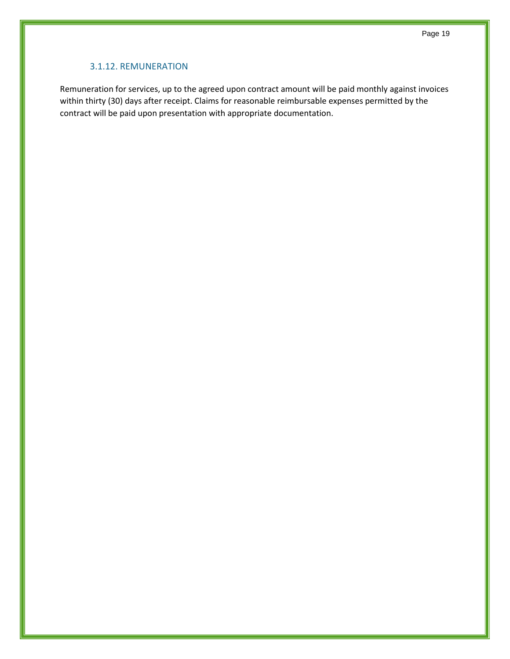### 3.1.12. REMUNERATION

<span id="page-18-0"></span>Remuneration for services, up to the agreed upon contract amount will be paid monthly against invoices within thirty (30) days after receipt. Claims for reasonable reimbursable expenses permitted by the contract will be paid upon presentation with appropriate documentation.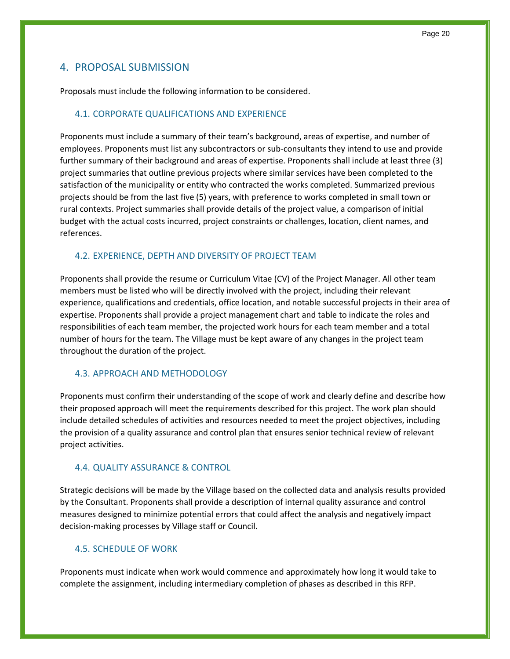# <span id="page-19-0"></span>4. PROPOSAL SUBMISSION

Proposals must include the following information to be considered.

### <span id="page-19-1"></span>4.1. CORPORATE QUALIFICATIONS AND EXPERIENCE

Proponents must include a summary of their team's background, areas of expertise, and number of employees. Proponents must list any subcontractors or sub-consultants they intend to use and provide further summary of their background and areas of expertise. Proponents shall include at least three (3) project summaries that outline previous projects where similar services have been completed to the satisfaction of the municipality or entity who contracted the works completed. Summarized previous projects should be from the last five (5) years, with preference to works completed in small town or rural contexts. Project summaries shall provide details of the project value, a comparison of initial budget with the actual costs incurred, project constraints or challenges, location, client names, and references.

### <span id="page-19-2"></span>4.2. EXPERIENCE, DEPTH AND DIVERSITY OF PROJECT TEAM

Proponents shall provide the resume or Curriculum Vitae (CV) of the Project Manager. All other team members must be listed who will be directly involved with the project, including their relevant experience, qualifications and credentials, office location, and notable successful projects in their area of expertise. Proponents shall provide a project management chart and table to indicate the roles and responsibilities of each team member, the projected work hours for each team member and a total number of hours for the team. The Village must be kept aware of any changes in the project team throughout the duration of the project.

### <span id="page-19-3"></span>4.3. APPROACH AND METHODOLOGY

Proponents must confirm their understanding of the scope of work and clearly define and describe how their proposed approach will meet the requirements described for this project. The work plan should include detailed schedules of activities and resources needed to meet the project objectives, including the provision of a quality assurance and control plan that ensures senior technical review of relevant project activities.

### <span id="page-19-4"></span>4.4. QUALITY ASSURANCE & CONTROL

Strategic decisions will be made by the Village based on the collected data and analysis results provided by the Consultant. Proponents shall provide a description of internal quality assurance and control measures designed to minimize potential errors that could affect the analysis and negatively impact decision-making processes by Village staff or Council.

### <span id="page-19-5"></span>4.5. SCHEDULE OF WORK

Proponents must indicate when work would commence and approximately how long it would take to complete the assignment, including intermediary completion of phases as described in this RFP.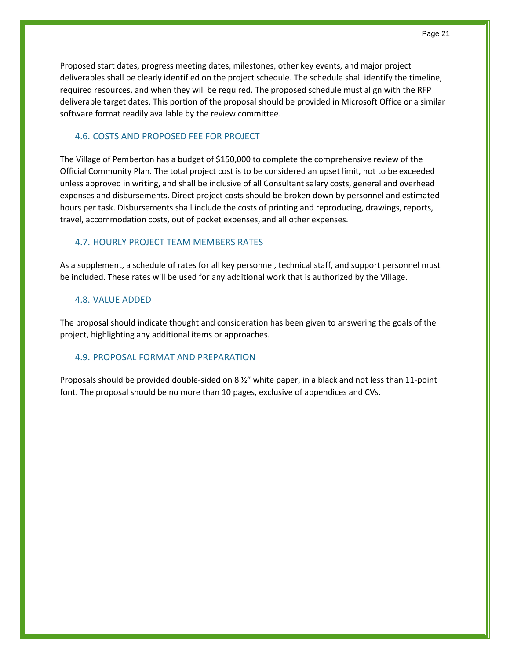Proposed start dates, progress meeting dates, milestones, other key events, and major project deliverables shall be clearly identified on the project schedule. The schedule shall identify the timeline, required resources, and when they will be required. The proposed schedule must align with the RFP deliverable target dates. This portion of the proposal should be provided in Microsoft Office or a similar software format readily available by the review committee.

### <span id="page-20-0"></span>4.6. COSTS AND PROPOSED FEE FOR PROJECT

The Village of Pemberton has a budget of \$150,000 to complete the comprehensive review of the Official Community Plan. The total project cost is to be considered an upset limit, not to be exceeded unless approved in writing, and shall be inclusive of all Consultant salary costs, general and overhead expenses and disbursements. Direct project costs should be broken down by personnel and estimated hours per task. Disbursements shall include the costs of printing and reproducing, drawings, reports, travel, accommodation costs, out of pocket expenses, and all other expenses.

### <span id="page-20-1"></span>4.7. HOURLY PROJECT TEAM MEMBERS RATES

As a supplement, a schedule of rates for all key personnel, technical staff, and support personnel must be included. These rates will be used for any additional work that is authorized by the Village.

#### <span id="page-20-2"></span>4.8. VALUE ADDED

The proposal should indicate thought and consideration has been given to answering the goals of the project, highlighting any additional items or approaches.

#### <span id="page-20-3"></span>4.9. PROPOSAL FORMAT AND PREPARATION

Proposals should be provided double-sided on 8 ½" white paper, in a black and not less than 11-point font. The proposal should be no more than 10 pages, exclusive of appendices and CVs.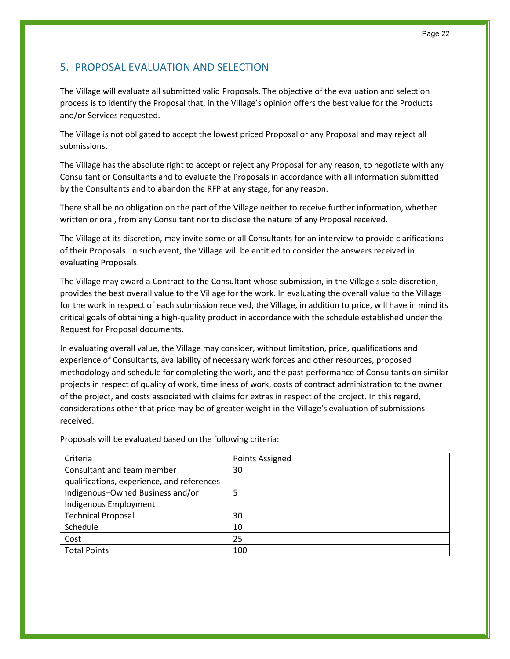# <span id="page-21-0"></span>5. PROPOSAL EVALUATION AND SELECTION

The Village will evaluate all submitted valid Proposals. The objective of the evaluation and selection process is to identify the Proposal that, in the Village's opinion offers the best value for the Products and/or Services requested.

The Village is not obligated to accept the lowest priced Proposal or any Proposal and may reject all submissions.

The Village has the absolute right to accept or reject any Proposal for any reason, to negotiate with any Consultant or Consultants and to evaluate the Proposals in accordance with all information submitted by the Consultants and to abandon the RFP at any stage, for any reason.

There shall be no obligation on the part of the Village neither to receive further information, whether written or oral, from any Consultant nor to disclose the nature of any Proposal received.

The Village at its discretion, may invite some or all Consultants for an interview to provide clarifications of their Proposals. In such event, the Village will be entitled to consider the answers received in evaluating Proposals.

The Village may award a Contract to the Consultant whose submission, in the Village's sole discretion, provides the best overall value to the Village for the work. In evaluating the overall value to the Village for the work in respect of each submission received, the Village, in addition to price, will have in mind its critical goals of obtaining a high-quality product in accordance with the schedule established under the Request for Proposal documents.

In evaluating overall value, the Village may consider, without limitation, price, qualifications and experience of Consultants, availability of necessary work forces and other resources, proposed methodology and schedule for completing the work, and the past performance of Consultants on similar projects in respect of quality of work, timeliness of work, costs of contract administration to the owner of the project, and costs associated with claims for extras in respect of the project. In this regard, considerations other that price may be of greater weight in the Village's evaluation of submissions received.

| Criteria                                   | Points Assigned |
|--------------------------------------------|-----------------|
| Consultant and team member                 | 30              |
| qualifications, experience, and references |                 |
| Indigenous-Owned Business and/or           | 5               |
| Indigenous Employment                      |                 |
| <b>Technical Proposal</b>                  | 30              |
| Schedule                                   | 10              |
| Cost                                       | 25              |
| <b>Total Points</b>                        | 100             |

Proposals will be evaluated based on the following criteria: